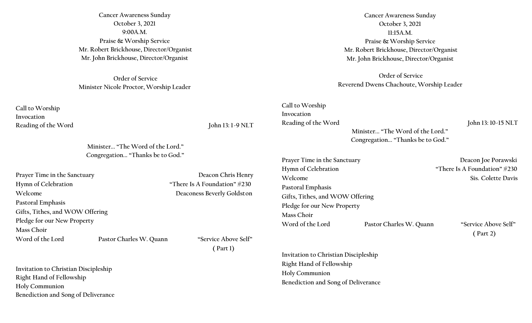**Cancer Awareness Sunday October 3, 2021 9:00A.M. Praise & Worship Service Mr. Robert Brickhouse, Director/Organist Mr. John Brickhouse, Director/Organist**

**Order of Service Minister Nicole Proctor, Worship Leader**

**Call to Worship Invocation**  Reading of the Word **John 13: 1-9 NLT** 

**Minister... "The Word of the Lord." Congregation... "Thanks be to God."**

| Prayer Time in the Sanctuary    |                         | Deacon Chris Henry              |  |  |
|---------------------------------|-------------------------|---------------------------------|--|--|
| Hymn of Celebration             |                         | "There Is A Foundation" $\#230$ |  |  |
| Welcome                         |                         | Deaconess Beverly Goldston      |  |  |
| Pastoral Emphasis               |                         |                                 |  |  |
| Gifts, Tithes, and WOW Offering |                         |                                 |  |  |
| Pledge for our New Property     |                         |                                 |  |  |
| Mass Choir                      |                         |                                 |  |  |
| Word of the Lord                | Pastor Charles W. Quann | "Service Above Self"            |  |  |
|                                 |                         | $'$ Part 1)                     |  |  |

**Invitation to Christian Discipleship Right Hand of Fellowship Holy Communion Benediction and Song of Deliverance** 

**Cancer Awareness Sunday October 3, 2021 11:15A.M. Praise & Worship Service Mr. Robert Brickhouse, Director/Organist Mr. John Brickhouse, Director/Organist**

**Order of Service Reverend Dwens Chachoute, Worship Leader**

**Call to Worship Invocation**  Reading of the Word John 13: 10-15 NLT

 **Minister... "The Word of the Lord." Congregation... "Thanks be to God."**

Prayer Time in the Sanctuary **Deacon Joe Porawski** Hymn of Celebration **There Is A Foundation** \*\*\* 230 **Welcome** Sis. Colette Davis **Pastoral Emphasis Gifts, Tithes, and WOW Offering Pledge for our New Property Mass Choir Word of the Lord Pastor Charles W. Quann "Service Above Self"** 

 **( Part 2)**

**Invitation to Christian Discipleship Right Hand of Fellowship Holy Communion Benediction and Song of Deliverance**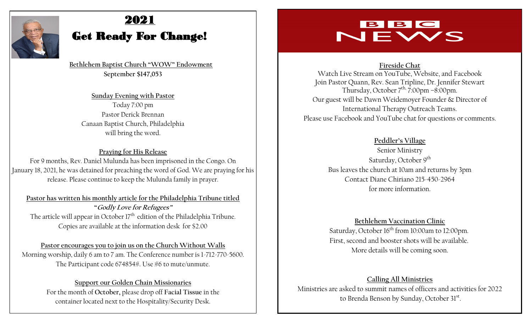

# 2021

# Get Ready For Change!

 **Bethlehem Baptist Church "WOW" Endowment September \$147,053**

**Sunday Evening with Pastor**  Today 7:00 pm Pastor Derick Brennan Canaan Baptist Church, Philadelphia will bring the word.

## **Praying for His Release** For 9 months, Rev. Daniel Mulunda has been imprisoned in the Congo. On January 18, 2021, he was detained for preaching the word of God. We are praying for his release. Please continue to keep the Mulunda family in prayer.

**Pastor has written his monthly article for the Philadelphia Tribune titled "Godly Love for Refugees"** The article will appear in October 17<sup>th</sup> edition of the Philadelphia Tribune. Copies are available at the information desk for \$2.00

## **Pastor encourages you to join us on the Church Without Walls** Morning worship, daily 6 am to 7 am. The Conference number is 1-712-770-5600. The Participant code 674854#. Use #6 to mute/unmute.

**Support our Golden Chain Missionaries**  For the month of **October,** please drop off **Facial Tissue** in the container located next to the Hospitality/Security Desk.

# NEWS

## **Fireside Chat**

Watch Live Stream on YouTube, Website, and Facebook Join Pastor Quann, Rev. Sean Tripline, Dr. Jennifer Stewart Thursday, October 7<sup>th, 7</sup>:00pm –8:00pm. Our guest will be Dawn Weidemoyer Founder & Director of International Therapy Outreach Teams. Please use Facebook and YouTube chat for questions or comments.

## **Peddler's Village**

Senior Ministry Saturday, October 9<sup>th</sup> Bus leaves the church at 10am and returns by 3pm Contact Diane Chiriano 215-450-2964 for more information.

**Bethlehem Vaccination Clinic** Saturday, October 16<sup>th</sup> from 10:00am to 12:00pm. First, second and booster shots will be available. More details will be coming soon.

**Calling All Ministries**  Ministries are asked to summit names of officers and activities for 2022 to Brenda Benson by Sunday, October 31st.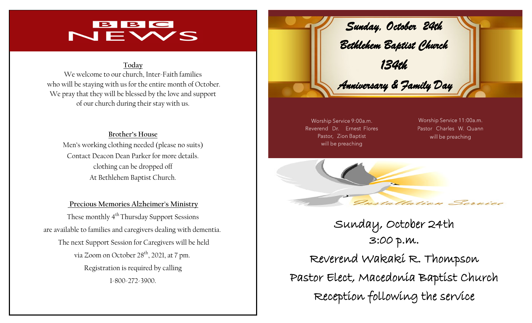## BBC NEWS

#### **Today**

We welcome to our church, Inter-Faith families who will be staying with us for the entire month of October. We pray that they will be blessed by the love and support of our church during their stay with us.

**Brother's House** Men's working clothing needed (please no suits) Contact Deacon Dean Parker for more details. clothing can be dropped off At Bethlehem Baptist Church.

**Precious Memories Alzheimer's Ministry**  These monthly 4<sup>th</sup> Thursday Support Sessions are available to families and caregivers dealing with dementia. The next Support Session for Caregivers will be held via Zoom on October 28<sup>th</sup>, 2021, at 7 pm. Registration is required by calling 1-800-272-3900.



Worship Service 9:00a.m. Reverend Dr. Ernest Flores Pastor, Zion Baptist will be preaching

Worship Service 11:00a.m. Pastor Charles W. Quann will be preaching



Sunday, October 24th 3:00 p.m. Reverend Wakaki R. Thompson Pastor Elect, Macedonia Baptist Church Reception following the service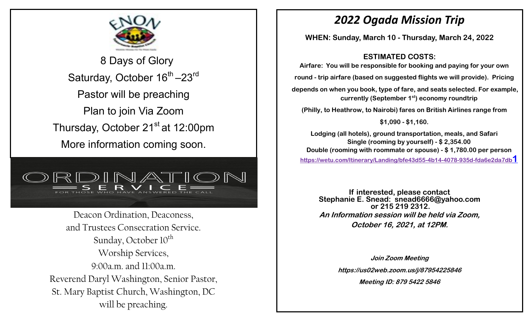

 8 Days of Glory Saturday, October 16<sup>th</sup> -23<sup>rd</sup> Pastor will be preaching Plan to join Via Zoom Thursday, October 21<sup>st</sup> at 12:00pm More information coming soon.



Deacon Ordination, Deaconess, and Trustees Consecration Service. Sunday, October  $10^{th}$ Worship Services,  $9:00a$  m and  $11:00a$  m Reverend Daryl Washington, Senior Pastor, St. Mary Baptist Church, Washington, DC will be preaching.

# *2022 Ogada Mission Trip*

**WHEN: Sunday, March 10 - Thursday, March 24, 2022**

**ESTIMATED COSTS:**

**Airfare: You will be responsible for booking and paying for your own** 

**round - trip airfare (based on suggested flights we will provide). Pricing**

**depends on when you book, type of fare, and seats selected. For example, currently (September 1st) economy roundtrip** 

**(Philly, to Heathrow, to Nairobi) fares on British Airlines range from** 

**\$1,090 - \$1,160.**

**Lodging (all hotels), ground transportation, meals, and Safari Single (rooming by yourself) - \$ 2,354.00 Double (rooming with roommate or spouse) - \$ 1,780.00 per person [https://wetu.com/Itinerary/Landing/bfe43d55-4b14-4078-935d-fda6e2da7db](https://wetu.com/Itinerary/Landing/bfe43d55-4b14-4078-935d-fda6e2da7db1)1**

**If interested, please contact Stephanie E. Snead: snead6666@yahoo.com or 215 219 2312. An Information session will be held via Zoom, October 16, 2021, at 12PM.**

> **Join Zoom Meeting https://us02web.zoom.us/j/87954225846 Meeting ID: 879 5422 5846**